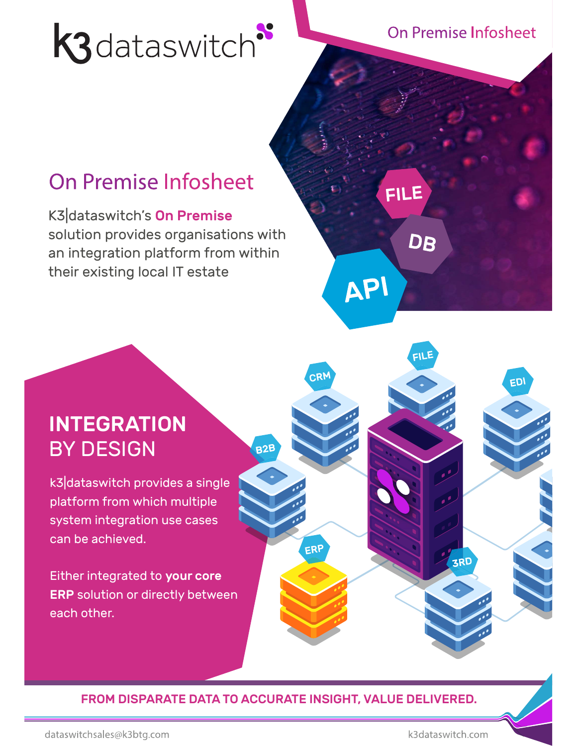# **K3** dataswitch

**On Premise Infosheet** 

**FILE** 

API

DB

EDI

## On Premise Infosheet

K3|dataswitch's On Premise solution provides organisations with an integration platform from within their existing local IT estate

### INTEGRATION BY DESIGN

k3|dataswitch provides a single platform from which multiple system integration use cases can be achieved.

Either integrated to your core ERP solution or directly between each other.

FROM DISPARATE DATA TO ACCURATE INSIGHT, VALUE DELIVERED.

ERP

**B2B** 

k3dataswitch.com

**ZRD**